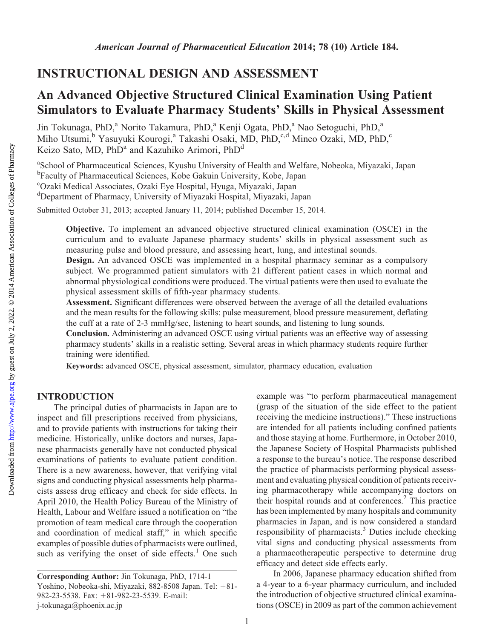## INSTRUCTIONAL DESIGN AND ASSESSMENT

# An Advanced Objective Structured Clinical Examination Using Patient Simulators to Evaluate Pharmacy Students' Skills in Physical Assessment

Jin Tokunaga, PhD,<sup>a</sup> Norito Takamura, PhD,<sup>a</sup> Kenji Ogata, PhD,<sup>a</sup> Nao Setoguchi, PhD,<sup>a</sup> Miho Utsumi,<sup>b</sup> Yasuyuki Kourogi,<sup>a</sup> Takashi Osaki, MD, PhD,<sup>c,d</sup> Mineo Ozaki, MD, PhD,<sup>c</sup> Keizo Sato, MD, PhD<sup>a</sup> and Kazuhiko Arimori, PhD<sup>d</sup>

<sup>a</sup>School of Pharmaceutical Sciences, Kyushu University of Health and Welfare, Nobeoka, Miyazaki, Japan <sup>b</sup>Faculty of Pharmaceutical Sciences, Kobe Gakuin University, Kobe, Japan

c Ozaki Medical Associates, Ozaki Eye Hospital, Hyuga, Miyazaki, Japan

d Department of Pharmacy, University of Miyazaki Hospital, Miyazaki, Japan

Submitted October 31, 2013; accepted January 11, 2014; published December 15, 2014.

Objective. To implement an advanced objective structured clinical examination (OSCE) in the curriculum and to evaluate Japanese pharmacy students' skills in physical assessment such as measuring pulse and blood pressure, and assessing heart, lung, and intestinal sounds.

Design. An advanced OSCE was implemented in a hospital pharmacy seminar as a compulsory subject. We programmed patient simulators with 21 different patient cases in which normal and abnormal physiological conditions were produced. The virtual patients were then used to evaluate the physical assessment skills of fifth-year pharmacy students.

Assessment. Significant differences were observed between the average of all the detailed evaluations and the mean results for the following skills: pulse measurement, blood pressure measurement, deflating the cuff at a rate of 2-3 mmHg/sec, listening to heart sounds, and listening to lung sounds.

Conclusion. Administering an advanced OSCE using virtual patients was an effective way of assessing pharmacy students' skills in a realistic setting. Several areas in which pharmacy students require further training were identified.

Keywords: advanced OSCE, physical assessment, simulator, pharmacy education, evaluation

### INTRODUCTION

The principal duties of pharmacists in Japan are to inspect and fill prescriptions received from physicians, and to provide patients with instructions for taking their medicine. Historically, unlike doctors and nurses, Japanese pharmacists generally have not conducted physical examinations of patients to evaluate patient condition. There is a new awareness, however, that verifying vital signs and conducting physical assessments help pharmacists assess drug efficacy and check for side effects. In April 2010, the Health Policy Bureau of the Ministry of Health, Labour and Welfare issued a notification on "the promotion of team medical care through the cooperation and coordination of medical staff," in which specific examples of possible duties of pharmacists were outlined, such as verifying the onset of side effects. $1$  One such example was "to perform pharmaceutical management (grasp of the situation of the side effect to the patient receiving the medicine instructions)." These instructions are intended for all patients including confined patients and those staying at home. Furthermore, in October 2010, the Japanese Society of Hospital Pharmacists published a response to the bureau's notice. The response described the practice of pharmacists performing physical assessment and evaluating physical condition of patients receiving pharmacotherapy while accompanying doctors on their hospital rounds and at conferences.2 This practice has been implemented by many hospitals and community pharmacies in Japan, and is now considered a standard responsibility of pharmacists. $3$  Duties include checking vital signs and conducting physical assessments from a pharmacotherapeutic perspective to determine drug efficacy and detect side effects early.

In 2006, Japanese pharmacy education shifted from a 4-year to a 6-year pharmacy curriculum, and included the introduction of objective structured clinical examinations (OSCE) in 2009 as part of the common achievement

Corresponding Author: Jin Tokunaga, PhD, 1714-1 Yoshino, Nobeoka-shi, Miyazaki, 882-8508 Japan. Tel: +81-982-23-5538. Fax: +81-982-23-5539. E-mail: j-tokunaga@phoenix.ac.jp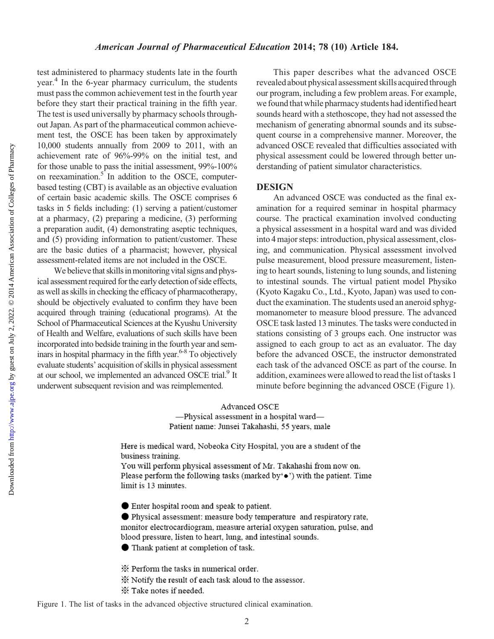#### American Journal of Pharmaceutical Education 2014; 78 (10) Article 184.

test administered to pharmacy students late in the fourth year.<sup>4</sup> In the 6-year pharmacy curriculum, the students must pass the common achievement test in the fourth year before they start their practical training in the fifth year. The test is used universally by pharmacy schools throughout Japan. As part of the pharmaceutical common achievement test, the OSCE has been taken by approximately 10,000 students annually from 2009 to 2011, with an achievement rate of 96%-99% on the initial test, and for those unable to pass the initial assessment, 99%-100% on reexamination. $5$  In addition to the OSCE, computerbased testing (CBT) is available as an objective evaluation of certain basic academic skills. The OSCE comprises 6 tasks in 5 fields including: (1) serving a patient/customer at a pharmacy, (2) preparing a medicine, (3) performing a preparation audit, (4) demonstrating aseptic techniques, and (5) providing information to patient/customer. These are the basic duties of a pharmacist; however, physical assessment-related items are not included in the OSCE.

We believe that skills in monitoring vital signs and physical assessment required for the early detection of side effects, as well as skills in checking the efficacy of pharmacotherapy, should be objectively evaluated to confirm they have been acquired through training (educational programs). At the School of Pharmaceutical Sciences at the Kyushu University of Health and Welfare, evaluations of such skills have been incorporated into bedside training in the fourth year and seminars in hospital pharmacy in the fifth year.<sup> $6-8$ </sup> To objectively evaluate students' acquisition of skills in physical assessment at our school, we implemented an advanced OSCE trial.<sup>9</sup> It underwent subsequent revision and was reimplemented.

This paper describes what the advanced OSCE revealed about physical assessment skills acquired through our program, including a few problem areas. For example, we found that while pharmacy students had identified heart sounds heard with a stethoscope, they had not assessed the mechanism of generating abnormal sounds and its subsequent course in a comprehensive manner. Moreover, the advanced OSCE revealed that difficulties associated with physical assessment could be lowered through better understanding of patient simulator characteristics.

#### DESIGN

An advanced OSCE was conducted as the final examination for a required seminar in hospital pharmacy course. The practical examination involved conducting a physical assessment in a hospital ward and was divided into 4 major steps: introduction, physical assessment, closing, and communication. Physical assessment involved pulse measurement, blood pressure measurement, listening to heart sounds, listening to lung sounds, and listening to intestinal sounds. The virtual patient model Physiko (Kyoto Kagaku Co., Ltd., Kyoto, Japan) was used to conduct the examination. The students used an aneroid sphygmomanometer to measure blood pressure. The advanced OSCE task lasted 13 minutes. The tasks were conducted in stations consisting of 3 groups each. One instructor was assigned to each group to act as an evaluator. The day before the advanced OSCE, the instructor demonstrated each task of the advanced OSCE as part of the course. In addition, examinees were allowed to read the list of tasks 1 minute before beginning the advanced OSCE (Figure 1).

Advanced OSCE -Physical assessment in a hospital ward-Patient name: Junsei Takahashi, 55 years, male

Here is medical ward, Nobeoka City Hospital, you are a student of the business training.

You will perform physical assessment of Mr. Takahashi from now on. Please perform the following tasks (marked by' $\bullet$ ) with the patient. Time limit is 13 minutes.

● Enter hospital room and speak to patient.

● Physical assessment: measure body temperature and respiratory rate, monitor electrocardiogram, measure arterial oxygen saturation, pulse, and blood pressure, listen to heart, lung, and intestinal sounds.

● Thank patient at completion of task.

X Perform the tasks in numerical order.

X Notify the result of each task aloud to the assessor.

X Take notes if needed.

Figure 1. The list of tasks in the advanced objective structured clinical examination.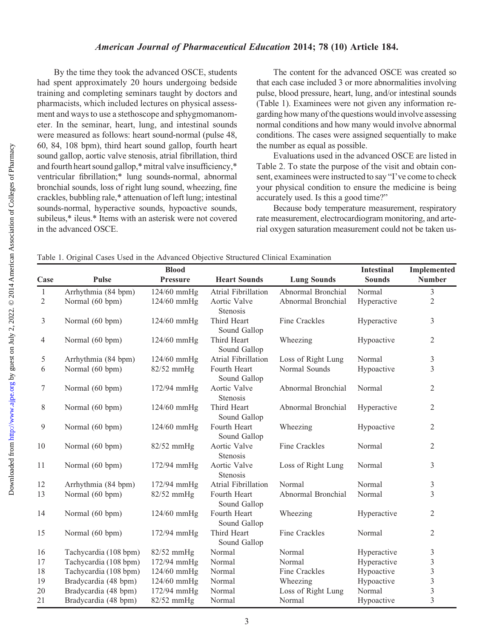By the time they took the advanced OSCE, students had spent approximately 20 hours undergoing bedside training and completing seminars taught by doctors and pharmacists, which included lectures on physical assessment and ways to use a stethoscope and sphygmomanometer. In the seminar, heart, lung, and intestinal sounds were measured as follows: heart sound-normal (pulse 48, 60, 84, 108 bpm), third heart sound gallop, fourth heart sound gallop, aortic valve stenosis, atrial fibrillation, third and fourth heart sound gallop,\* mitral valve insufficiency,\* ventricular fibrillation;\* lung sounds-normal, abnormal bronchial sounds, loss of right lung sound, wheezing, fine crackles, bubbling rale,\* attenuation of left lung; intestinal sounds-normal, hyperactive sounds, hypoactive sounds, subileus,\* ileus.\* Items with an asterisk were not covered in the advanced OSCE.

The content for the advanced OSCE was created so that each case included 3 or more abnormalities involving pulse, blood pressure, heart, lung, and/or intestinal sounds (Table 1). Examinees were not given any information regarding how many of the questions would involve assessing normal conditions and how many would involve abnormal conditions. The cases were assigned sequentially to make the number as equal as possible.

Evaluations used in the advanced OSCE are listed in Table 2. To state the purpose of the visit and obtain consent, examinees were instructed to say "I've come to check your physical condition to ensure the medicine is being accurately used. Is this a good time?"

Because body temperature measurement, respiratory rate measurement, electrocardiogram monitoring, and arterial oxygen saturation measurement could not be taken us-

Table 1. Original Cases Used in the Advanced Objective Structured Clinical Examination

|                | <b>Blood</b>          |                 |                                 |                    | <b>Intestinal</b> | <b>Implemented</b> |
|----------------|-----------------------|-----------------|---------------------------------|--------------------|-------------------|--------------------|
| Case           | <b>Pulse</b>          | <b>Pressure</b> | <b>Heart Sounds</b>             | <b>Lung Sounds</b> | <b>Sounds</b>     | <b>Number</b>      |
| $\mathbf{1}$   | Arrhythmia (84 bpm)   | 124/60 mmHg     | Atrial Fibrillation             | Abnormal Bronchial | Normal            | 3                  |
| $\overline{2}$ | Normal (60 bpm)       | $124/60$ mmHg   | Aortic Valve<br>Stenosis        | Abnormal Bronchial | Hyperactive       | $\sqrt{2}$         |
| $\mathfrak{Z}$ | Normal (60 bpm)       | 124/60 mmHg     | Third Heart<br>Sound Gallop     | Fine Crackles      | Hyperactive       | 3                  |
| $\overline{4}$ | Normal (60 bpm)       | 124/60 mmHg     | Third Heart<br>Sound Gallop     | Wheezing           | Hypoactive        | $\mathfrak{2}$     |
| 5              | Arrhythmia (84 bpm)   | 124/60 mmHg     | Atrial Fibrillation             | Loss of Right Lung | Normal            | 3                  |
| 6              | Normal (60 bpm)       | $82/52$ mmHg    | Fourth Heart<br>Sound Gallop    | Normal Sounds      | Hypoactive        | $\overline{3}$     |
| $\tau$         | Normal (60 bpm)       | 172/94 mmHg     | Aortic Valve<br>Stenosis        | Abnormal Bronchial | Normal            | $\sqrt{2}$         |
| $8\,$          | Normal (60 bpm)       | 124/60 mmHg     | Third Heart<br>Sound Gallop     | Abnormal Bronchial | Hyperactive       | $\mathfrak{2}$     |
| 9              | Normal (60 bpm)       | 124/60 mmHg     | Fourth Heart<br>Sound Gallop    | Wheezing           | Hypoactive        | $\mathfrak{2}$     |
| 10             | Normal (60 bpm)       | 82/52 mmHg      | Aortic Valve<br><b>Stenosis</b> | Fine Crackles      | Normal            | 2                  |
| 11             | Normal (60 bpm)       | 172/94 mmHg     | Aortic Valve<br><b>Stenosis</b> | Loss of Right Lung | Normal            | 3                  |
| 12             | Arrhythmia (84 bpm)   | 172/94 mmHg     | Atrial Fibrillation             | Normal             | Normal            | 3                  |
| 13             | Normal (60 bpm)       | $82/52$ mmHg    | Fourth Heart<br>Sound Gallop    | Abnormal Bronchial | Normal            | $\overline{3}$     |
| 14             | Normal (60 bpm)       | 124/60 mmHg     | Fourth Heart<br>Sound Gallop    | Wheezing           | Hyperactive       | 2                  |
| 15             | Normal (60 bpm)       | 172/94 mmHg     | Third Heart<br>Sound Gallop     | Fine Crackles      | Normal            | $\overline{2}$     |
| 16             | Tachycardia (108 bpm) | 82/52 mmHg      | Normal                          | Normal             | Hyperactive       | $\mathfrak{Z}$     |
| 17             | Tachycardia (108 bpm) | 172/94 mmHg     | Normal                          | Normal             | Hyperactive       | $\mathfrak{Z}$     |
| 18             | Tachycardia (108 bpm) | 124/60 mmHg     | Normal                          | Fine Crackles      | Hypoactive        | $\mathfrak{Z}$     |
| 19             | Bradycardia (48 bpm)  | 124/60 mmHg     | Normal                          | Wheezing           | Hypoactive        | $\mathfrak{Z}$     |
| 20             | Bradycardia (48 bpm)  | 172/94 mmHg     | Normal                          | Loss of Right Lung | Normal            | $\overline{3}$     |
| 21             | Bradycardia (48 bpm)  | 82/52 mmHg      | Normal                          | Normal             | Hypoactive        | $\overline{3}$     |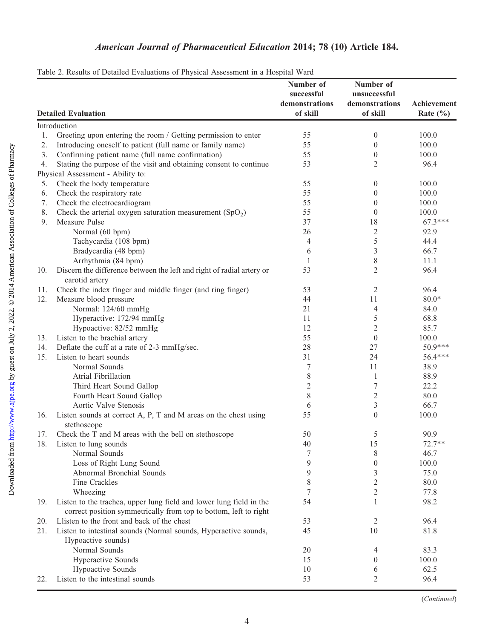# American Journal of Pharmaceutical Education 2014; 78 (10) Article 184.

|     | 2. Results of Beamea Byanamons of Fiffshear Hosessment in a Hosphan War<br><b>Detailed Evaluation</b>                                   | Number of<br>successful<br>demonstrations<br>of skill | Number of<br>unsuccessful<br>demonstrations<br>of skill | Achievement<br>Rate $(\% )$ |
|-----|-----------------------------------------------------------------------------------------------------------------------------------------|-------------------------------------------------------|---------------------------------------------------------|-----------------------------|
|     | Introduction                                                                                                                            |                                                       |                                                         |                             |
| 1.  | Greeting upon entering the room / Getting permission to enter                                                                           | 55                                                    | $\boldsymbol{0}$                                        | 100.0                       |
| 2.  | Introducing oneself to patient (full name or family name)                                                                               | 55                                                    | $\boldsymbol{0}$                                        | 100.0                       |
| 3.  | Confirming patient name (full name confirmation)                                                                                        | 55                                                    | $\boldsymbol{0}$                                        | 100.0                       |
| 4.  | Stating the purpose of the visit and obtaining consent to continue                                                                      | 53                                                    | 2                                                       | 96.4                        |
|     | Physical Assessment - Ability to:                                                                                                       |                                                       |                                                         |                             |
| 5.  | Check the body temperature                                                                                                              | 55                                                    | $\boldsymbol{0}$                                        | 100.0                       |
| 6.  | Check the respiratory rate                                                                                                              | 55                                                    | $\theta$                                                | 100.0                       |
| 7.  | Check the electrocardiogram                                                                                                             | 55                                                    | $\boldsymbol{0}$                                        | 100.0                       |
| 8.  | Check the arterial oxygen saturation measurement $(SpO2)$                                                                               | 55                                                    | $\theta$                                                | 100.0                       |
| 9.  | Measure Pulse                                                                                                                           | 37                                                    | 18                                                      | $67.3***$                   |
|     | Normal (60 bpm)                                                                                                                         | 26                                                    | $\sqrt{2}$                                              | 92.9                        |
|     | Tachycardia (108 bpm)                                                                                                                   | 4                                                     | 5                                                       | 44.4                        |
|     | Bradycardia (48 bpm)                                                                                                                    | 6                                                     | 3                                                       | 66.7                        |
|     | Arrhythmia (84 bpm)                                                                                                                     | 1                                                     | 8                                                       | 11.1                        |
| 10. | Discern the difference between the left and right of radial artery or                                                                   | 53                                                    | 2                                                       | 96.4                        |
|     | carotid artery                                                                                                                          |                                                       |                                                         |                             |
| 11. | Check the index finger and middle finger (and ring finger)                                                                              | 53                                                    | $\overline{2}$                                          | 96.4                        |
| 12. | Measure blood pressure                                                                                                                  | 44                                                    | 11                                                      | $80.0*$                     |
|     | Normal: 124/60 mmHg                                                                                                                     | 21                                                    | 4                                                       | 84.0                        |
|     | Hyperactive: 172/94 mmHg                                                                                                                | 11                                                    | 5                                                       | 68.8                        |
|     | Hypoactive: 82/52 mmHg                                                                                                                  | 12                                                    | 2                                                       | 85.7                        |
| 13. | Listen to the brachial artery                                                                                                           | 55                                                    | $\boldsymbol{0}$                                        | 100.0                       |
| 14. | Deflate the cuff at a rate of 2-3 mmHg/sec.                                                                                             | 28                                                    | 27                                                      | 50.9***                     |
| 15. | Listen to heart sounds                                                                                                                  | 31                                                    | 24                                                      | 56.4***                     |
|     | Normal Sounds                                                                                                                           | 7                                                     | 11                                                      | 38.9                        |
|     | Atrial Fibrillation                                                                                                                     | 8                                                     | $\mathbf{1}$                                            | 88.9                        |
|     | Third Heart Sound Gallop                                                                                                                | 2                                                     | 7                                                       | 22.2                        |
|     | Fourth Heart Sound Gallop                                                                                                               | 8                                                     | 2                                                       | 80.0                        |
|     | Aortic Valve Stenosis                                                                                                                   | 6                                                     | 3                                                       | 66.7                        |
| 16. | Listen sounds at correct A, P, T and M areas on the chest using                                                                         | 55                                                    | $\theta$                                                | 100.0                       |
|     | stethoscope                                                                                                                             |                                                       |                                                         |                             |
| 17. | Check the T and M areas with the bell on stethoscope                                                                                    | 50                                                    | 5                                                       | 90.9                        |
| 18. | Listen to lung sounds                                                                                                                   | 40                                                    | 15                                                      | $72.7**$                    |
|     | Normal Sounds                                                                                                                           | 7                                                     | 8                                                       | 46.7                        |
|     | Loss of Right Lung Sound                                                                                                                | 9                                                     | $\boldsymbol{0}$                                        | 100.0                       |
|     | Abnormal Bronchial Sounds                                                                                                               | 9                                                     | 3                                                       | 75.0                        |
|     | Fine Crackles                                                                                                                           | 8                                                     | 2                                                       | 80.0                        |
|     | Wheezing                                                                                                                                | 7                                                     | 2                                                       | 77.8                        |
| 19. | Listen to the trachea, upper lung field and lower lung field in the<br>correct position symmetrically from top to bottom, left to right | 54                                                    | 1                                                       | 98.2                        |
| 20. | Llisten to the front and back of the chest                                                                                              | 53                                                    | 2                                                       | 96.4                        |
| 21. | Listen to intestinal sounds (Normal sounds, Hyperactive sounds,                                                                         | 45                                                    | 10                                                      | 81.8                        |
|     | Hypoactive sounds)                                                                                                                      |                                                       |                                                         |                             |
|     | Normal Sounds                                                                                                                           | 20                                                    | 4                                                       | 83.3                        |
|     | Hyperactive Sounds                                                                                                                      | 15                                                    | $\theta$                                                | 100.0                       |
|     | <b>Hypoactive Sounds</b>                                                                                                                | 10                                                    | 6                                                       | 62.5                        |
| 22. | Listen to the intestinal sounds                                                                                                         | 53                                                    | 2                                                       | 96.4                        |

#### Table 2. Results of Detailed Evaluations of Physical Assessment in a Hospital Ward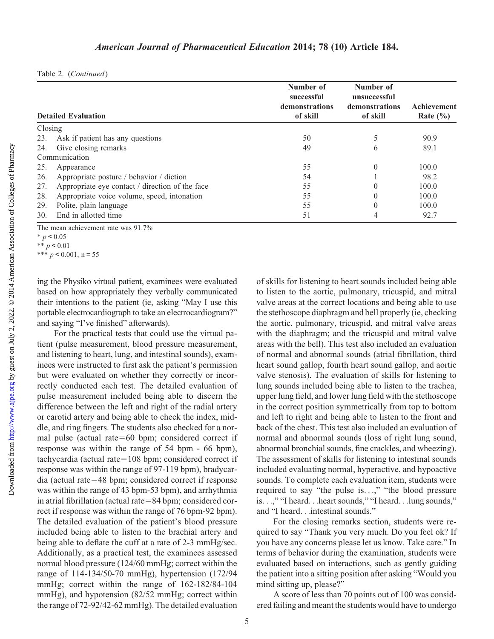|               | <b>Detailed Evaluation</b>                      | Number of<br>successful<br>demonstrations<br>of skill | Number of<br>unsuccessful<br>demonstrations<br>of skill | Achievement<br>Rate $(\% )$ |
|---------------|-------------------------------------------------|-------------------------------------------------------|---------------------------------------------------------|-----------------------------|
| Closing       |                                                 |                                                       |                                                         |                             |
| 23.           | Ask if patient has any questions                | 50                                                    |                                                         | 90.9                        |
| 24.           | Give closing remarks                            | 49                                                    | 6                                                       | 89.1                        |
| Communication |                                                 |                                                       |                                                         |                             |
| 25.           | Appearance                                      | 55                                                    | $\theta$                                                | 100.0                       |
| 26.           | Appropriate posture / behavior / diction        | 54                                                    |                                                         | 98.2                        |
| 27.           | Appropriate eye contact / direction of the face | 55                                                    | $\theta$                                                | 100.0                       |
| 28.           | Appropriate voice volume, speed, intonation     | 55                                                    | $\theta$                                                | 100.0                       |
| 29.           | Polite, plain language                          | 55                                                    | $\theta$                                                | 100.0                       |
| 30.           | End in allotted time                            | 51                                                    | 4                                                       | 92.7                        |

The mean achievement rate was 91.7%

ing the Physiko virtual patient, examinees were evaluated based on how appropriately they verbally communicated their intentions to the patient (ie, asking "May I use this portable electrocardiograph to take an electrocardiogram?" and saying "I've finished" afterwards).

For the practical tests that could use the virtual patient (pulse measurement, blood pressure measurement, and listening to heart, lung, and intestinal sounds), examinees were instructed to first ask the patient's permission but were evaluated on whether they correctly or incorrectly conducted each test. The detailed evaluation of pulse measurement included being able to discern the difference between the left and right of the radial artery or carotid artery and being able to check the index, middle, and ring fingers. The students also checked for a normal pulse (actual rate= $60$  bpm; considered correct if response was within the range of 54 bpm - 66 bpm), tachycardia (actual rate $=108$  bpm; considered correct if response was within the range of 97-119 bpm), bradycar $dia$  (actual rate=48 bpm; considered correct if response was within the range of 43 bpm-53 bpm), and arrhythmia in atrial fibrillation (actual rate $=84$  bpm; considered correct if response was within the range of 76 bpm-92 bpm). The detailed evaluation of the patient's blood pressure included being able to listen to the brachial artery and being able to deflate the cuff at a rate of 2-3 mmHg/sec. Additionally, as a practical test, the examinees assessed normal blood pressure (124/60 mmHg; correct within the range of 114-134/50-70 mmHg), hypertension (172/94 mmHg; correct within the range of 162-182/84-104 mmHg), and hypotension (82/52 mmHg; correct within the range of 72-92/42-62 mmHg). The detailed evaluation

of skills for listening to heart sounds included being able to listen to the aortic, pulmonary, tricuspid, and mitral valve areas at the correct locations and being able to use the stethoscope diaphragm and bell properly (ie, checking the aortic, pulmonary, tricuspid, and mitral valve areas with the diaphragm; and the tricuspid and mitral valve areas with the bell). This test also included an evaluation of normal and abnormal sounds (atrial fibrillation, third heart sound gallop, fourth heart sound gallop, and aortic valve stenosis). The evaluation of skills for listening to lung sounds included being able to listen to the trachea, upper lung field, and lower lung field with the stethoscope in the correct position symmetrically from top to bottom and left to right and being able to listen to the front and back of the chest. This test also included an evaluation of normal and abnormal sounds (loss of right lung sound, abnormal bronchial sounds, fine crackles, and wheezing). The assessment of skills for listening to intestinal sounds included evaluating normal, hyperactive, and hypoactive sounds. To complete each evaluation item, students were required to say "the pulse is...," "the blood pressure is...," "I heard...heart sounds," "I heard...lung sounds," and "I heard...intestinal sounds."

For the closing remarks section, students were required to say "Thank you very much. Do you feel ok? If you have any concerns please let us know. Take care." In terms of behavior during the examination, students were evaluated based on interactions, such as gently guiding the patient into a sitting position after asking "Would you mind sitting up, please?"

A score of less than 70 points out of 100 was considered failing and meant the students would have to undergo

 $* p < 0.05$ \*\*  $p < 0.01$ 

<sup>\*\*\*</sup>  $p < 0.001$ , n = 55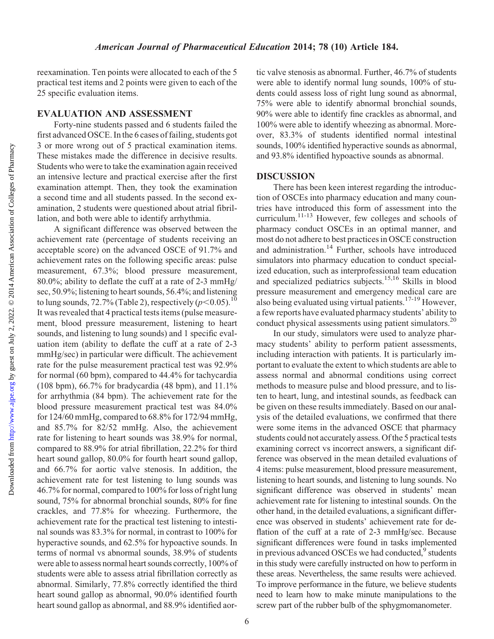reexamination. Ten points were allocated to each of the 5 practical test items and 2 points were given to each of the 25 specific evaluation items.

#### EVALUATION AND ASSESSMENT

Forty-nine students passed and 6 students failed the first advanced OSCE. In the 6 cases of failing, students got 3 or more wrong out of 5 practical examination items. These mistakes made the difference in decisive results. Students who were to take the examination again received an intensive lecture and practical exercise after the first examination attempt. Then, they took the examination a second time and all students passed. In the second examination, 2 students were questioned about atrial fibrillation, and both were able to identify arrhythmia.

A significant difference was observed between the achievement rate (percentage of students receiving an acceptable score) on the advanced OSCE of 91.7% and achievement rates on the following specific areas: pulse measurement, 67.3%; blood pressure measurement, 80.0%; ability to deflate the cuff at a rate of 2-3 mmHg/ sec, 50.9%; listening to heart sounds, 56.4%; and listening to lung sounds, 72.7% (Table 2), respectively ( $p<0.05$ ).<sup>10</sup> It was revealed that 4 practical tests items (pulse measurement, blood pressure measurement, listening to heart sounds, and listening to lung sounds) and 1 specific evaluation item (ability to deflate the cuff at a rate of 2-3 mmHg/sec) in particular were difficult. The achievement rate for the pulse measurement practical test was 92.9% for normal (60 bpm), compared to 44.4% for tachycardia (108 bpm), 66.7% for bradycardia (48 bpm), and 11.1% for arrhythmia (84 bpm). The achievement rate for the blood pressure measurement practical test was 84.0% for 124/60 mmHg, compared to 68.8% for 172/94 mmHg, and 85.7% for 82/52 mmHg. Also, the achievement rate for listening to heart sounds was 38.9% for normal, compared to 88.9% for atrial fibrillation, 22.2% for third heart sound gallop, 80.0% for fourth heart sound gallop, and 66.7% for aortic valve stenosis. In addition, the achievement rate for test listening to lung sounds was 46.7% for normal, compared to 100% for loss of right lung sound, 75% for abnormal bronchial sounds, 80% for fine crackles, and 77.8% for wheezing. Furthermore, the achievement rate for the practical test listening to intestinal sounds was 83.3% for normal, in contrast to 100% for hyperactive sounds, and 62.5% for hypoactive sounds. In terms of normal vs abnormal sounds, 38.9% of students were able to assess normal heart sounds correctly, 100% of students were able to assess atrial fibrillation correctly as abnormal. Similarly, 77.8% correctly identified the third heart sound gallop as abnormal, 90.0% identified fourth heart sound gallop as abnormal, and 88.9% identified aortic valve stenosis as abnormal. Further, 46.7% of students were able to identify normal lung sounds, 100% of students could assess loss of right lung sound as abnormal, 75% were able to identify abnormal bronchial sounds, 90% were able to identify fine crackles as abnormal, and 100% were able to identify wheezing as abnormal. Moreover, 83.3% of students identified normal intestinal sounds, 100% identified hyperactive sounds as abnormal, and 93.8% identified hypoactive sounds as abnormal.

#### DISCUSSION

There has been keen interest regarding the introduction of OSCEs into pharmacy education and many countries have introduced this form of assessment into the curriculum.<sup>11-13</sup> However, few colleges and schools of pharmacy conduct OSCEs in an optimal manner, and most do not adhere to best practices in OSCE construction and administration.<sup>14</sup> Further, schools have introduced simulators into pharmacy education to conduct specialized education, such as interprofessional team education and specialized pediatrics subjects.<sup>15,16</sup> Skills in blood pressure measurement and emergency medical care are also being evaluated using virtual patients.17-19 However, a few reports have evaluated pharmacy students' ability to conduct physical assessments using patient simulators.<sup>20</sup>

In our study, simulators were used to analyze pharmacy students' ability to perform patient assessments, including interaction with patients. It is particularly important to evaluate the extent to which students are able to assess normal and abnormal conditions using correct methods to measure pulse and blood pressure, and to listen to heart, lung, and intestinal sounds, as feedback can be given on these results immediately. Based on our analysis of the detailed evaluations, we confirmed that there were some items in the advanced OSCE that pharmacy students could not accurately assess. Of the 5 practical tests examining correct vs incorrect answers, a significant difference was observed in the mean detailed evaluations of 4 items: pulse measurement, blood pressure measurement, listening to heart sounds, and listening to lung sounds. No significant difference was observed in students' mean achievement rate for listening to intestinal sounds. On the other hand, in the detailed evaluations, a significant difference was observed in students' achievement rate for deflation of the cuff at a rate of 2-3 mmHg/sec. Because significant differences were found in tasks implemented in previous advanced OSCEs we had conducted, $9$  students in this study were carefully instructed on how to perform in these areas. Nevertheless, the same results were achieved. To improve performance in the future, we believe students need to learn how to make minute manipulations to the screw part of the rubber bulb of the sphygmomanometer.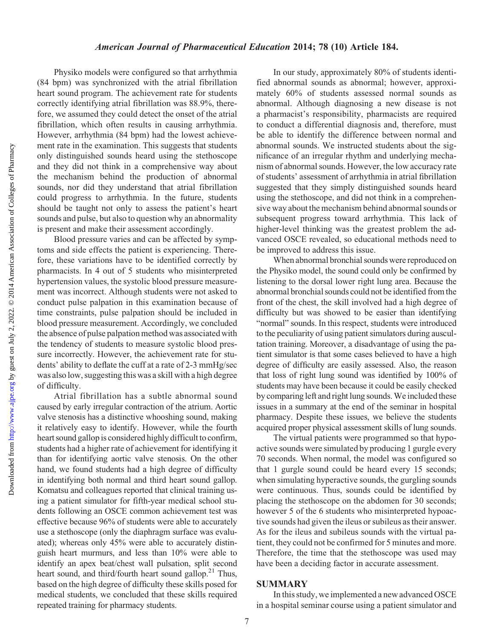#### American Journal of Pharmaceutical Education 2014; 78 (10) Article 184.

Physiko models were configured so that arrhythmia (84 bpm) was synchronized with the atrial fibrillation heart sound program. The achievement rate for students correctly identifying atrial fibrillation was 88.9%, therefore, we assumed they could detect the onset of the atrial fibrillation, which often results in causing arrhythmia. However, arrhythmia (84 bpm) had the lowest achievement rate in the examination. This suggests that students only distinguished sounds heard using the stethoscope and they did not think in a comprehensive way about the mechanism behind the production of abnormal sounds, nor did they understand that atrial fibrillation could progress to arrhythmia. In the future, students should be taught not only to assess the patient's heart sounds and pulse, but also to question why an abnormality is present and make their assessment accordingly.

Blood pressure varies and can be affected by symptoms and side effects the patient is experiencing. Therefore, these variations have to be identified correctly by pharmacists. In 4 out of 5 students who misinterpreted hypertension values, the systolic blood pressure measurement was incorrect. Although students were not asked to conduct pulse palpation in this examination because of time constraints, pulse palpation should be included in blood pressure measurement. Accordingly, we concluded the absence of pulse palpation method was associated with the tendency of students to measure systolic blood pressure incorrectly. However, the achievement rate for students' ability to deflate the cuff at a rate of 2-3 mmHg/sec was also low, suggesting this was a skill with a high degree of difficulty.

Atrial fibrillation has a subtle abnormal sound caused by early irregular contraction of the atrium. Aortic valve stenosis has a distinctive whooshing sound, making it relatively easy to identify. However, while the fourth heart sound gallop is considered highly difficult to confirm, students had a higher rate of achievement for identifying it than for identifying aortic valve stenosis. On the other hand, we found students had a high degree of difficulty in identifying both normal and third heart sound gallop. Komatsu and colleagues reported that clinical training using a patient simulator for fifth-year medical school students following an OSCE common achievement test was effective because 96% of students were able to accurately use a stethoscope (only the diaphragm surface was evaluated); whereas only 45% were able to accurately distinguish heart murmurs, and less than 10% were able to identify an apex beat/chest wall pulsation, split second heart sound, and third/fourth heart sound gallop.<sup>21</sup> Thus, based on the high degree of difficulty these skills posed for medical students, we concluded that these skills required repeated training for pharmacy students.

In our study, approximately 80% of students identified abnormal sounds as abnormal; however, approximately 60% of students assessed normal sounds as abnormal. Although diagnosing a new disease is not a pharmacist's responsibility, pharmacists are required to conduct a differential diagnosis and, therefore, must be able to identify the difference between normal and abnormal sounds. We instructed students about the significance of an irregular rhythm and underlying mechanism of abnormal sounds. However, the low accuracy rate of students' assessment of arrhythmia in atrial fibrillation suggested that they simply distinguished sounds heard using the stethoscope, and did not think in a comprehensive way about the mechanism behind abnormal sounds or subsequent progress toward arrhythmia. This lack of higher-level thinking was the greatest problem the advanced OSCE revealed, so educational methods need to be improved to address this issue.

When abnormal bronchial sounds were reproduced on the Physiko model, the sound could only be confirmed by listening to the dorsal lower right lung area. Because the abnormal bronchial sounds could not be identified from the front of the chest, the skill involved had a high degree of difficulty but was showed to be easier than identifying "normal" sounds. In this respect, students were introduced to the peculiarity of using patient simulators during auscultation training. Moreover, a disadvantage of using the patient simulator is that some cases believed to have a high degree of difficulty are easily assessed. Also, the reason that loss of right lung sound was identified by 100% of students may have been because it could be easily checked by comparing left and right lung sounds.We included these issues in a summary at the end of the seminar in hospital pharmacy. Despite these issues, we believe the students acquired proper physical assessment skills of lung sounds.

The virtual patients were programmed so that hypoactive sounds were simulated by producing 1 gurgle every 70 seconds. When normal, the model was configured so that 1 gurgle sound could be heard every 15 seconds; when simulating hyperactive sounds, the gurgling sounds were continuous. Thus, sounds could be identified by placing the stethoscope on the abdomen for 30 seconds; however 5 of the 6 students who misinterpreted hypoactive sounds had given the ileus or subileus as their answer. As for the ileus and subileus sounds with the virtual patient, they could not be confirmed for 5 minutes and more. Therefore, the time that the stethoscope was used may have been a deciding factor in accurate assessment.

#### SUMMARY

In this study, we implemented a new advanced OSCE in a hospital seminar course using a patient simulator and